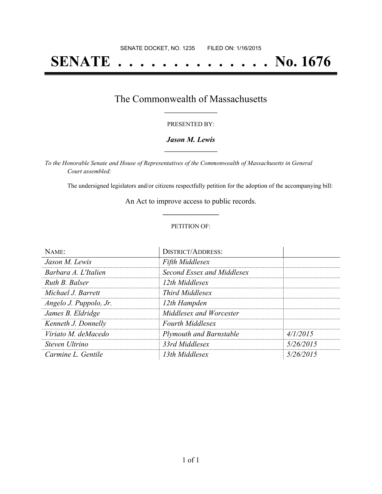# **SENATE . . . . . . . . . . . . . . No. 1676**

### The Commonwealth of Massachusetts **\_\_\_\_\_\_\_\_\_\_\_\_\_\_\_\_\_**

#### PRESENTED BY:

#### *Jason M. Lewis* **\_\_\_\_\_\_\_\_\_\_\_\_\_\_\_\_\_**

*To the Honorable Senate and House of Representatives of the Commonwealth of Massachusetts in General Court assembled:*

The undersigned legislators and/or citizens respectfully petition for the adoption of the accompanying bill:

An Act to improve access to public records. **\_\_\_\_\_\_\_\_\_\_\_\_\_\_\_**

#### PETITION OF:

| NAME:                  | <b>DISTRICT/ADDRESS:</b>       |           |
|------------------------|--------------------------------|-----------|
| Jason M. Lewis         | <b>Fifth Middlesex</b>         |           |
| Barbara A. L'Italien   | Second Essex and Middlesex     |           |
| Ruth B. Balser         | 12th Middlesex                 |           |
| Michael J. Barrett     | <i>Third Middlesex</i>         |           |
| Angelo J. Puppolo, Jr. | 12th Hampden                   |           |
| James B. Eldridge      | Middlesex and Worcester        |           |
| Kenneth J. Donnelly    | <b>Fourth Middlesex</b>        |           |
| Viriato M. deMacedo    | <b>Plymouth and Barnstable</b> | 4/1/2015  |
| Steven Ultrino         | 33rd Middlesex                 | 5/26/2015 |
| Carmine L. Gentile     | 13th Middlesex                 | 5/26/2015 |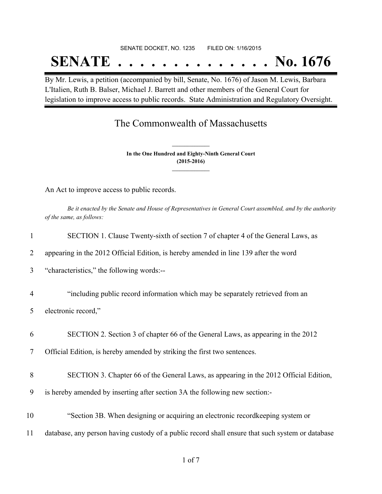## SENATE DOCKET, NO. 1235 FILED ON: 1/16/2015

# **SENATE . . . . . . . . . . . . . . No. 1676**

By Mr. Lewis, a petition (accompanied by bill, Senate, No. 1676) of Jason M. Lewis, Barbara L'Italien, Ruth B. Balser, Michael J. Barrett and other members of the General Court for legislation to improve access to public records. State Administration and Regulatory Oversight.

### The Commonwealth of Massachusetts

**In the One Hundred and Eighty-Ninth General Court (2015-2016) \_\_\_\_\_\_\_\_\_\_\_\_\_\_\_**

**\_\_\_\_\_\_\_\_\_\_\_\_\_\_\_**

An Act to improve access to public records.

Be it enacted by the Senate and House of Representatives in General Court assembled, and by the authority *of the same, as follows:*

| 1              | SECTION 1. Clause Twenty-sixth of section 7 of chapter 4 of the General Laws, as                 |
|----------------|--------------------------------------------------------------------------------------------------|
| 2              | appearing in the 2012 Official Edition, is hereby amended in line 139 after the word             |
| $\overline{3}$ | "characteristics," the following words:--                                                        |
| $\overline{4}$ | "including public record information which may be separately retrieved from an                   |
| 5              | electronic record,"                                                                              |
| 6              | SECTION 2. Section 3 of chapter 66 of the General Laws, as appearing in the 2012                 |
| 7              | Official Edition, is hereby amended by striking the first two sentences.                         |
| 8              | SECTION 3. Chapter 66 of the General Laws, as appearing in the 2012 Official Edition,            |
| 9              | is hereby amended by inserting after section 3A the following new section:-                      |
| 10             | "Section 3B. When designing or acquiring an electronic recordkeeping system or                   |
| 11             | database, any person having custody of a public record shall ensure that such system or database |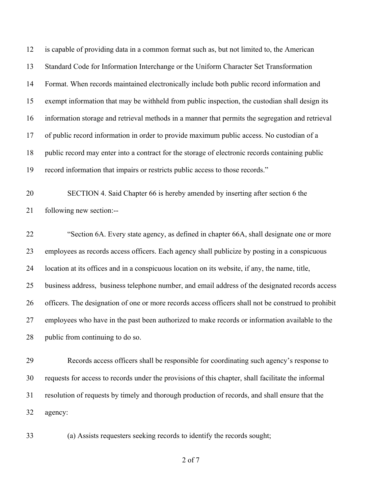is capable of providing data in a common format such as, but not limited to, the American Standard Code for Information Interchange or the Uniform Character Set Transformation Format. When records maintained electronically include both public record information and exempt information that may be withheld from public inspection, the custodian shall design its information storage and retrieval methods in a manner that permits the segregation and retrieval of public record information in order to provide maximum public access. No custodian of a public record may enter into a contract for the storage of electronic records containing public record information that impairs or restricts public access to those records."

 SECTION 4. Said Chapter 66 is hereby amended by inserting after section 6 the following new section:--

 "Section 6A. Every state agency, as defined in chapter 66A, shall designate one or more employees as records access officers. Each agency shall publicize by posting in a conspicuous location at its offices and in a conspicuous location on its website, if any, the name, title, business address, business telephone number, and email address of the designated records access officers. The designation of one or more records access officers shall not be construed to prohibit employees who have in the past been authorized to make records or information available to the public from continuing to do so.

 Records access officers shall be responsible for coordinating such agency's response to requests for access to records under the provisions of this chapter, shall facilitate the informal resolution of requests by timely and thorough production of records, and shall ensure that the agency:

(a) Assists requesters seeking records to identify the records sought;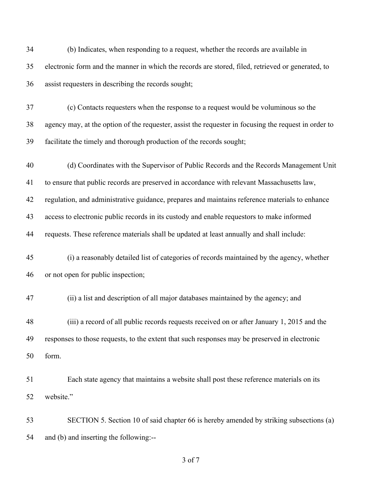| 34 | (b) Indicates, when responding to a request, whether the records are available in                    |
|----|------------------------------------------------------------------------------------------------------|
| 35 | electronic form and the manner in which the records are stored, filed, retrieved or generated, to    |
| 36 | assist requesters in describing the records sought;                                                  |
| 37 | (c) Contacts requesters when the response to a request would be voluminous so the                    |
| 38 | agency may, at the option of the requester, assist the requester in focusing the request in order to |
| 39 | facilitate the timely and thorough production of the records sought;                                 |
| 40 | (d) Coordinates with the Supervisor of Public Records and the Records Management Unit                |
| 41 | to ensure that public records are preserved in accordance with relevant Massachusetts law,           |
| 42 | regulation, and administrative guidance, prepares and maintains reference materials to enhance       |
| 43 | access to electronic public records in its custody and enable requestors to make informed            |
| 44 | requests. These reference materials shall be updated at least annually and shall include:            |
| 45 | (i) a reasonably detailed list of categories of records maintained by the agency, whether            |
| 46 | or not open for public inspection;                                                                   |
| 47 | (ii) a list and description of all major databases maintained by the agency; and                     |
| 48 | (iii) a record of all public records requests received on or after January 1, 2015 and the           |
| 49 | responses to those requests, to the extent that such responses may be preserved in electronic        |
| 50 | form.                                                                                                |
| 51 | Each state agency that maintains a website shall post these reference materials on its               |
| 52 | website."                                                                                            |
| 53 | SECTION 5. Section 10 of said chapter 66 is hereby amended by striking subsections (a)               |
| 54 | and (b) and inserting the following:--                                                               |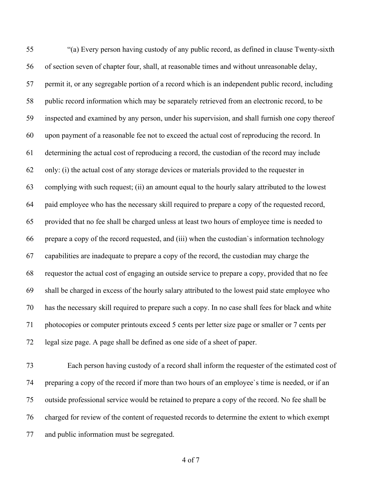"(a) Every person having custody of any public record, as defined in clause Twenty-sixth of section seven of chapter four, shall, at reasonable times and without unreasonable delay, permit it, or any segregable portion of a record which is an independent public record, including public record information which may be separately retrieved from an electronic record, to be inspected and examined by any person, under his supervision, and shall furnish one copy thereof upon payment of a reasonable fee not to exceed the actual cost of reproducing the record. In determining the actual cost of reproducing a record, the custodian of the record may include only: (i) the actual cost of any storage devices or materials provided to the requester in complying with such request; (ii) an amount equal to the hourly salary attributed to the lowest paid employee who has the necessary skill required to prepare a copy of the requested record, provided that no fee shall be charged unless at least two hours of employee time is needed to prepare a copy of the record requested, and (iii) when the custodian`s information technology capabilities are inadequate to prepare a copy of the record, the custodian may charge the requestor the actual cost of engaging an outside service to prepare a copy, provided that no fee shall be charged in excess of the hourly salary attributed to the lowest paid state employee who has the necessary skill required to prepare such a copy. In no case shall fees for black and white photocopies or computer printouts exceed 5 cents per letter size page or smaller or 7 cents per legal size page. A page shall be defined as one side of a sheet of paper.

 Each person having custody of a record shall inform the requester of the estimated cost of preparing a copy of the record if more than two hours of an employee`s time is needed, or if an outside professional service would be retained to prepare a copy of the record. No fee shall be charged for review of the content of requested records to determine the extent to which exempt and public information must be segregated.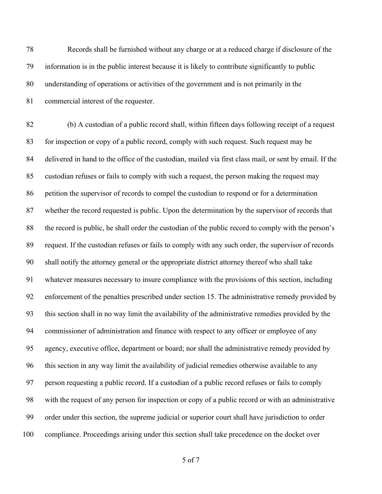Records shall be furnished without any charge or at a reduced charge if disclosure of the information is in the public interest because it is likely to contribute significantly to public understanding of operations or activities of the government and is not primarily in the commercial interest of the requester.

 (b) A custodian of a public record shall, within fifteen days following receipt of a request for inspection or copy of a public record, comply with such request. Such request may be delivered in hand to the office of the custodian, mailed via first class mail, or sent by email. If the custodian refuses or fails to comply with such a request, the person making the request may petition the supervisor of records to compel the custodian to respond or for a determination whether the record requested is public. Upon the determination by the supervisor of records that the record is public, he shall order the custodian of the public record to comply with the person's request. If the custodian refuses or fails to comply with any such order, the supervisor of records shall notify the attorney general or the appropriate district attorney thereof who shall take whatever measures necessary to insure compliance with the provisions of this section, including enforcement of the penalties prescribed under section 15. The administrative remedy provided by this section shall in no way limit the availability of the administrative remedies provided by the commissioner of administration and finance with respect to any officer or employee of any agency, executive office, department or board; nor shall the administrative remedy provided by this section in any way limit the availability of judicial remedies otherwise available to any person requesting a public record. If a custodian of a public record refuses or fails to comply with the request of any person for inspection or copy of a public record or with an administrative order under this section, the supreme judicial or superior court shall have jurisdiction to order compliance. Proceedings arising under this section shall take precedence on the docket over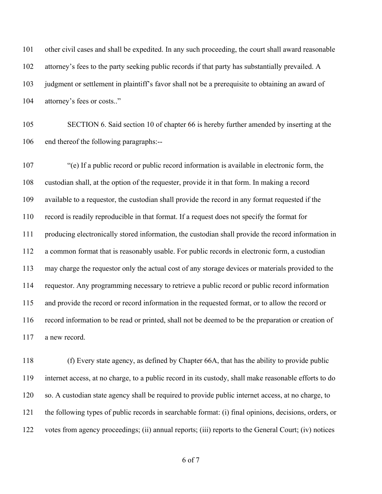other civil cases and shall be expedited. In any such proceeding, the court shall award reasonable attorney's fees to the party seeking public records if that party has substantially prevailed. A judgment or settlement in plaintiff's favor shall not be a prerequisite to obtaining an award of attorney's fees or costs.."

 SECTION 6. Said section 10 of chapter 66 is hereby further amended by inserting at the end thereof the following paragraphs:--

 "(e) If a public record or public record information is available in electronic form, the custodian shall, at the option of the requester, provide it in that form. In making a record available to a requestor, the custodian shall provide the record in any format requested if the record is readily reproducible in that format. If a request does not specify the format for producing electronically stored information, the custodian shall provide the record information in a common format that is reasonably usable. For public records in electronic form, a custodian may charge the requestor only the actual cost of any storage devices or materials provided to the requestor. Any programming necessary to retrieve a public record or public record information and provide the record or record information in the requested format, or to allow the record or record information to be read or printed, shall not be deemed to be the preparation or creation of a new record.

 (f) Every state agency, as defined by Chapter 66A, that has the ability to provide public internet access, at no charge, to a public record in its custody, shall make reasonable efforts to do so. A custodian state agency shall be required to provide public internet access, at no charge, to the following types of public records in searchable format: (i) final opinions, decisions, orders, or votes from agency proceedings; (ii) annual reports; (iii) reports to the General Court; (iv) notices